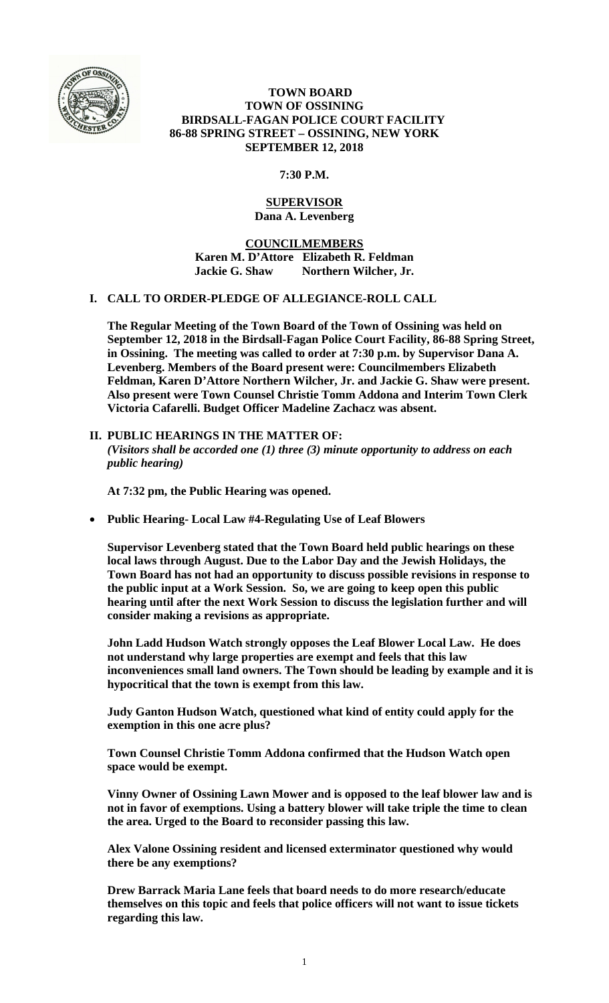

# **TOWN BOARD TOWN OF OSSINING BIRDSALL-FAGAN POLICE COURT FACILITY 86-88 SPRING STREET – OSSINING, NEW YORK SEPTEMBER 12, 2018**

**7:30 P.M.** 

# **SUPERVISOR Dana A. Levenberg**

**COUNCILMEMBERS Karen M. D'Attore Elizabeth R. Feldman Jackie G. Shaw Northern Wilcher, Jr.** 

# **I. CALL TO ORDER-PLEDGE OF ALLEGIANCE-ROLL CALL**

**The Regular Meeting of the Town Board of the Town of Ossining was held on September 12, 2018 in the Birdsall-Fagan Police Court Facility, 86-88 Spring Street, in Ossining. The meeting was called to order at 7:30 p.m. by Supervisor Dana A. Levenberg. Members of the Board present were: Councilmembers Elizabeth Feldman, Karen D'Attore Northern Wilcher, Jr. and Jackie G. Shaw were present. Also present were Town Counsel Christie Tomm Addona and Interim Town Clerk Victoria Cafarelli. Budget Officer Madeline Zachacz was absent.** 

# **II. PUBLIC HEARINGS IN THE MATTER OF:**  *(Visitors shall be accorded one (1) three (3) minute opportunity to address on each public hearing)*

**At 7:32 pm, the Public Hearing was opened.** 

**Public Hearing- Local Law #4-Regulating Use of Leaf Blowers** 

**Supervisor Levenberg stated that the Town Board held public hearings on these local laws through August. Due to the Labor Day and the Jewish Holidays, the Town Board has not had an opportunity to discuss possible revisions in response to the public input at a Work Session. So, we are going to keep open this public hearing until after the next Work Session to discuss the legislation further and will consider making a revisions as appropriate.** 

**John Ladd Hudson Watch strongly opposes the Leaf Blower Local Law. He does not understand why large properties are exempt and feels that this law inconveniences small land owners. The Town should be leading by example and it is hypocritical that the town is exempt from this law.** 

**Judy Ganton Hudson Watch, questioned what kind of entity could apply for the exemption in this one acre plus?** 

**Town Counsel Christie Tomm Addona confirmed that the Hudson Watch open space would be exempt.** 

**Vinny Owner of Ossining Lawn Mower and is opposed to the leaf blower law and is not in favor of exemptions. Using a battery blower will take triple the time to clean the area. Urged to the Board to reconsider passing this law.** 

**Alex Valone Ossining resident and licensed exterminator questioned why would there be any exemptions?** 

**Drew Barrack Maria Lane feels that board needs to do more research/educate themselves on this topic and feels that police officers will not want to issue tickets regarding this law.**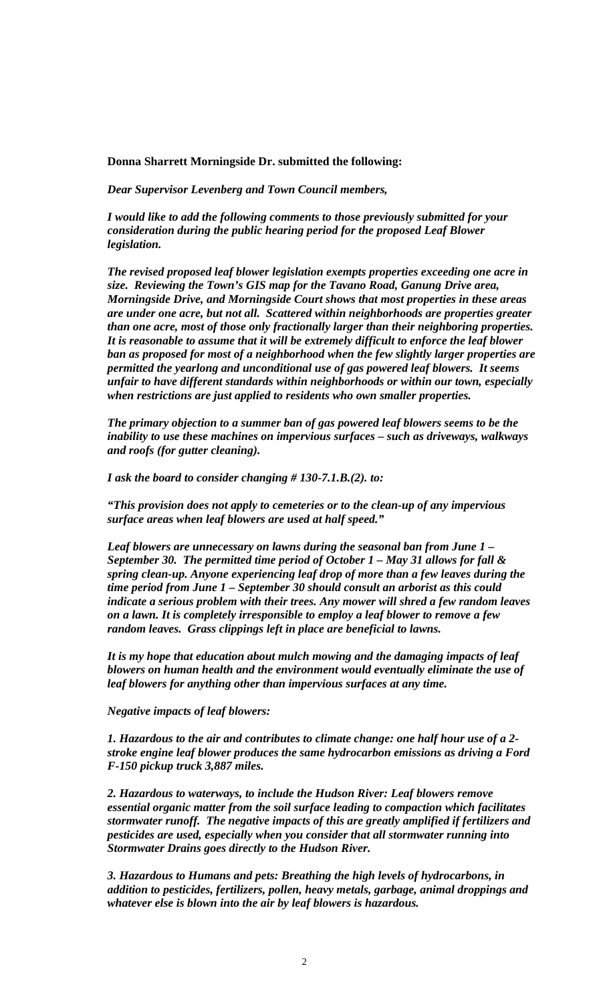### **Donna Sharrett Morningside Dr. submitted the following:**

*Dear Supervisor Levenberg and Town Council members,*

*I would like to add the following comments to those previously submitted for your consideration during the public hearing period for the proposed Leaf Blower legislation.* 

*The revised proposed leaf blower legislation exempts properties exceeding one acre in size. Reviewing the Town's GIS map for the Tavano Road, Ganung Drive area, Morningside Drive, and Morningside Court shows that most properties in these areas are under one acre, but not all. Scattered within neighborhoods are properties greater than one acre, most of those only fractionally larger than their neighboring properties. It is reasonable to assume that it will be extremely difficult to enforce the leaf blower ban as proposed for most of a neighborhood when the few slightly larger properties are permitted the yearlong and unconditional use of gas powered leaf blowers. It seems unfair to have different standards within neighborhoods or within our town, especially when restrictions are just applied to residents who own smaller properties.* 

*The primary objection to a summer ban of gas powered leaf blowers seems to be the inability to use these machines on impervious surfaces – such as driveways, walkways and roofs (for gutter cleaning).* 

*I ask the board to consider changing # 130-7.1.B.(2). to:* 

*"This provision does not apply to cemeteries or to the clean-up of any impervious surface areas when leaf blowers are used at half speed."* 

*Leaf blowers are unnecessary on lawns during the seasonal ban from June 1 – September 30. The permitted time period of October 1 – May 31 allows for fall & spring clean-up. Anyone experiencing leaf drop of more than a few leaves during the time period from June 1 – September 30 should consult an arborist as this could indicate a serious problem with their trees. Any mower will shred a few random leaves on a lawn. It is completely irresponsible to employ a leaf blower to remove a few random leaves. Grass clippings left in place are beneficial to lawns.* 

*It is my hope that education about mulch mowing and the damaging impacts of leaf blowers on human health and the environment would eventually eliminate the use of leaf blowers for anything other than impervious surfaces at any time.* 

*Negative impacts of leaf blowers:* 

*1. Hazardous to the air and contributes to climate change: one half hour use of a 2 stroke engine leaf blower produces the same hydrocarbon emissions as driving a Ford F-150 pickup truck 3,887 miles.* 

*2. Hazardous to waterways, to include the Hudson River: Leaf blowers remove essential organic matter from the soil surface leading to compaction which facilitates stormwater runoff. The negative impacts of this are greatly amplified if fertilizers and pesticides are used, especially when you consider that all stormwater running into Stormwater Drains goes directly to the Hudson River.* 

*3. Hazardous to Humans and pets: Breathing the high levels of hydrocarbons, in addition to pesticides, fertilizers, pollen, heavy metals, garbage, animal droppings and whatever else is blown into the air by leaf blowers is hazardous.*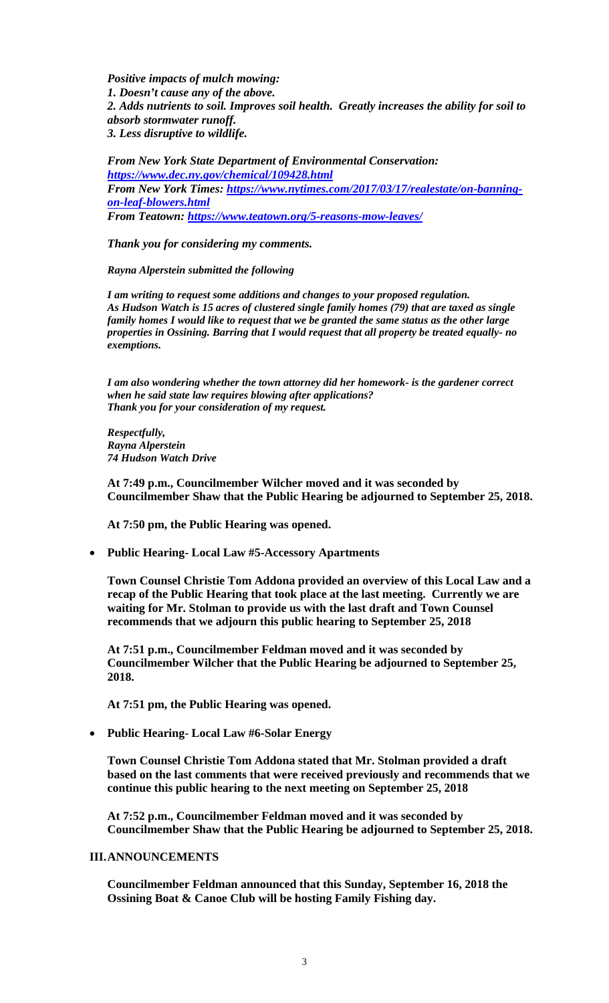*Positive impacts of mulch mowing: 1. Doesn't cause any of the above. 2. Adds nutrients to soil. Improves soil health. Greatly increases the ability for soil to absorb stormwater runoff. 3. Less disruptive to wildlife.* 

*From New York State Department of Environmental Conservation: https://www.dec.ny.gov/chemical/109428.html From New York Times: https://www.nytimes.com/2017/03/17/realestate/on-banningon-leaf-blowers.html From Teatown: https://www.teatown.org/5-reasons-mow-leaves/* 

*Thank you for considering my comments.* 

*Rayna Alperstein submitted the following* 

*I am writing to request some additions and changes to your proposed regulation. As Hudson Watch is 15 acres of clustered single family homes (79) that are taxed as single family homes I would like to request that we be granted the same status as the other large properties in Ossining. Barring that I would request that all property be treated equally- no exemptions.* 

*I am also wondering whether the town attorney did her homework- is the gardener correct when he said state law requires blowing after applications? Thank you for your consideration of my request.* 

*Respectfully, Rayna Alperstein 74 Hudson Watch Drive* 

**At 7:49 p.m., Councilmember Wilcher moved and it was seconded by Councilmember Shaw that the Public Hearing be adjourned to September 25, 2018.** 

**At 7:50 pm, the Public Hearing was opened.** 

**Public Hearing- Local Law #5-Accessory Apartments** 

**Town Counsel Christie Tom Addona provided an overview of this Local Law and a recap of the Public Hearing that took place at the last meeting. Currently we are waiting for Mr. Stolman to provide us with the last draft and Town Counsel recommends that we adjourn this public hearing to September 25, 2018** 

**At 7:51 p.m., Councilmember Feldman moved and it was seconded by Councilmember Wilcher that the Public Hearing be adjourned to September 25, 2018.** 

**At 7:51 pm, the Public Hearing was opened.** 

**Public Hearing- Local Law #6-Solar Energy** 

**Town Counsel Christie Tom Addona stated that Mr. Stolman provided a draft based on the last comments that were received previously and recommends that we continue this public hearing to the next meeting on September 25, 2018** 

**At 7:52 p.m., Councilmember Feldman moved and it was seconded by Councilmember Shaw that the Public Hearing be adjourned to September 25, 2018.** 

### **III.ANNOUNCEMENTS**

**Councilmember Feldman announced that this Sunday, September 16, 2018 the Ossining Boat & Canoe Club will be hosting Family Fishing day.**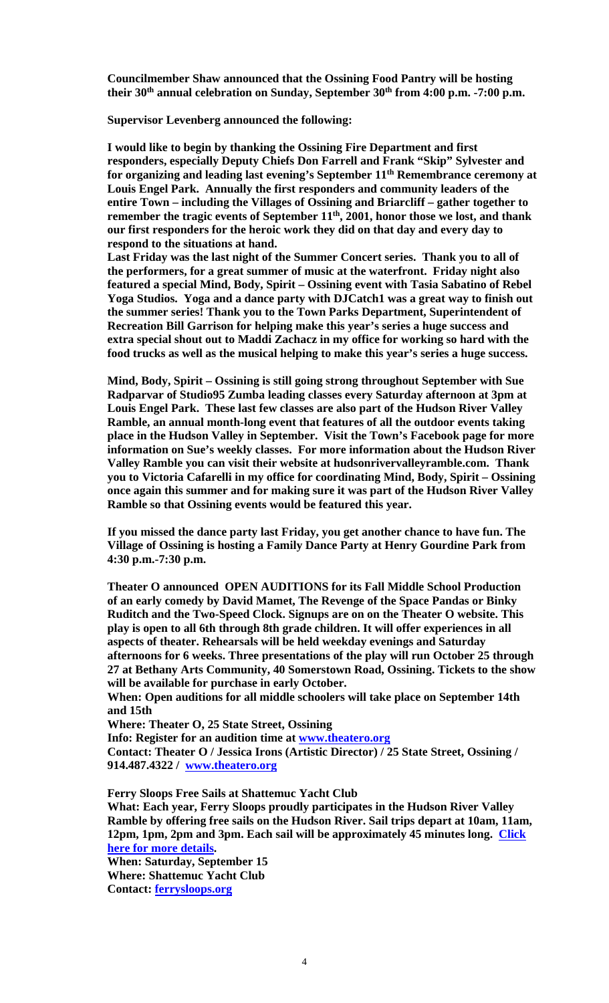**Councilmember Shaw announced that the Ossining Food Pantry will be hosting**  their 30<sup>th</sup> annual celebration on Sunday, September 30<sup>th</sup> from 4:00 p.m. -7:00 p.m.

**Supervisor Levenberg announced the following:** 

**I would like to begin by thanking the Ossining Fire Department and first responders, especially Deputy Chiefs Don Farrell and Frank "Skip" Sylvester and for organizing and leading last evening's September 11th Remembrance ceremony at Louis Engel Park. Annually the first responders and community leaders of the entire Town – including the Villages of Ossining and Briarcliff – gather together to**  remember the tragic events of September 11<sup>th</sup>, 2001, honor those we lost, and thank **our first responders for the heroic work they did on that day and every day to respond to the situations at hand.** 

**Last Friday was the last night of the Summer Concert series. Thank you to all of the performers, for a great summer of music at the waterfront. Friday night also featured a special Mind, Body, Spirit – Ossining event with Tasia Sabatino of Rebel Yoga Studios. Yoga and a dance party with DJCatch1 was a great way to finish out the summer series! Thank you to the Town Parks Department, Superintendent of Recreation Bill Garrison for helping make this year's series a huge success and extra special shout out to Maddi Zachacz in my office for working so hard with the food trucks as well as the musical helping to make this year's series a huge success.** 

**Mind, Body, Spirit – Ossining is still going strong throughout September with Sue Radparvar of Studio95 Zumba leading classes every Saturday afternoon at 3pm at Louis Engel Park. These last few classes are also part of the Hudson River Valley Ramble, an annual month-long event that features of all the outdoor events taking place in the Hudson Valley in September. Visit the Town's Facebook page for more information on Sue's weekly classes. For more information about the Hudson River Valley Ramble you can visit their website at hudsonrivervalleyramble.com. Thank you to Victoria Cafarelli in my office for coordinating Mind, Body, Spirit – Ossining once again this summer and for making sure it was part of the Hudson River Valley Ramble so that Ossining events would be featured this year.** 

**If you missed the dance party last Friday, you get another chance to have fun. The Village of Ossining is hosting a Family Dance Party at Henry Gourdine Park from 4:30 p.m.-7:30 p.m.** 

**Theater O announced OPEN AUDITIONS for its Fall Middle School Production of an early comedy by David Mamet, The Revenge of the Space Pandas or Binky Ruditch and the Two-Speed Clock. Signups are on on the Theater O website. This play is open to all 6th through 8th grade children. It will offer experiences in all aspects of theater. Rehearsals will be held weekday evenings and Saturday afternoons for 6 weeks. Three presentations of the play will run October 25 through 27 at Bethany Arts Community, 40 Somerstown Road, Ossining. Tickets to the show will be available for purchase in early October.** 

**When: Open auditions for all middle schoolers will take place on September 14th and 15th** 

**Where: Theater O, 25 State Street, Ossining** 

**Info: Register for an audition time at www.theatero.org** 

**Contact: Theater O / Jessica Irons (Artistic Director) / 25 State Street, Ossining / 914.487.4322 / www.theatero.org**

**Ferry Sloops Free Sails at Shattemuc Yacht Club What: Each year, Ferry Sloops proudly participates in the Hudson River Valley Ramble by offering free sails on the Hudson River. Sail trips depart at 10am, 11am, 12pm, 1pm, 2pm and 3pm. Each sail will be approximately 45 minutes long. Click here for more details. When: Saturday, September 15** 

**Where: Shattemuc Yacht Club Contact: ferrysloops.org**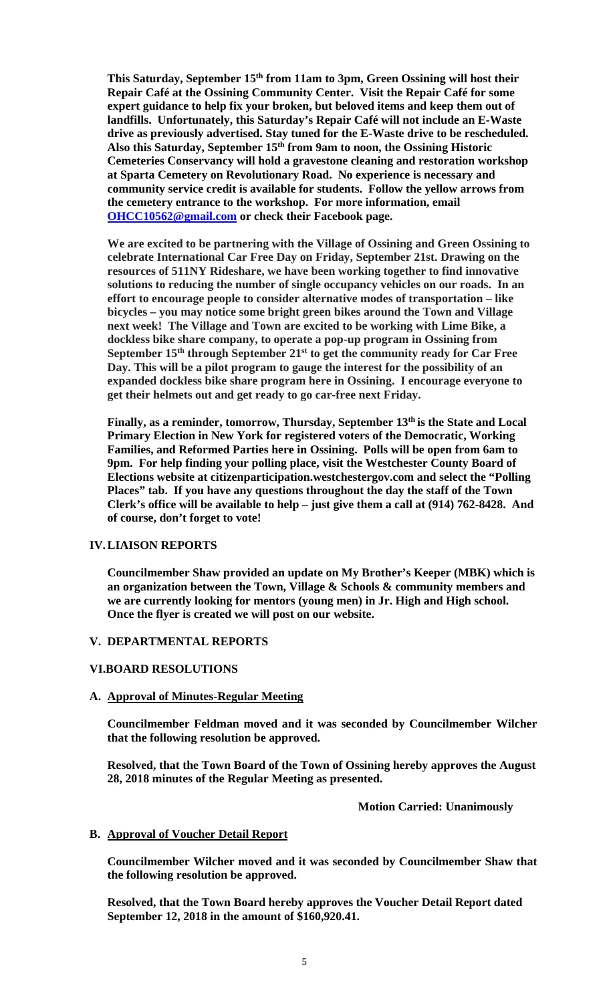This Saturday, September 15<sup>th</sup> from 11am to 3pm, Green Ossining will host their **Repair Café at the Ossining Community Center. Visit the Repair Café for some expert guidance to help fix your broken, but beloved items and keep them out of landfills. Unfortunately, this Saturday's Repair Café will not include an E-Waste drive as previously advertised. Stay tuned for the E-Waste drive to be rescheduled. Also this Saturday, September 15th from 9am to noon, the Ossining Historic Cemeteries Conservancy will hold a gravestone cleaning and restoration workshop at Sparta Cemetery on Revolutionary Road. No experience is necessary and community service credit is available for students. Follow the yellow arrows from the cemetery entrance to the workshop. For more information, email OHCC10562@gmail.com or check their Facebook page.** 

**We are excited to be partnering with the Village of Ossining and Green Ossining to celebrate International Car Free Day on Friday, September 21st. Drawing on the resources of 511NY Rideshare, we have been working together to find innovative solutions to reducing the number of single occupancy vehicles on our roads. In an effort to encourage people to consider alternative modes of transportation – like bicycles – you may notice some bright green bikes around the Town and Village next week! The Village and Town are excited to be working with Lime Bike, a dockless bike share company, to operate a pop-up program in Ossining from September 15th through September 21st to get the community ready for Car Free Day. This will be a pilot program to gauge the interest for the possibility of an expanded dockless bike share program here in Ossining. I encourage everyone to get their helmets out and get ready to go car-free next Friday.** 

**Finally, as a reminder, tomorrow, Thursday, September 13th is the State and Local Primary Election in New York for registered voters of the Democratic, Working Families, and Reformed Parties here in Ossining. Polls will be open from 6am to 9pm. For help finding your polling place, visit the Westchester County Board of Elections website at citizenparticipation.westchestergov.com and select the "Polling Places" tab. If you have any questions throughout the day the staff of the Town Clerk's office will be available to help – just give them a call at (914) 762-8428. And of course, don't forget to vote!** 

### **IV.LIAISON REPORTS**

**Councilmember Shaw provided an update on My Brother's Keeper (MBK) which is an organization between the Town, Village & Schools & community members and we are currently looking for mentors (young men) in Jr. High and High school. Once the flyer is created we will post on our website.** 

### **V. DEPARTMENTAL REPORTS**

### **VI.BOARD RESOLUTIONS**

### **A. Approval of Minutes-Regular Meeting**

**Councilmember Feldman moved and it was seconded by Councilmember Wilcher that the following resolution be approved.** 

**Resolved, that the Town Board of the Town of Ossining hereby approves the August 28, 2018 minutes of the Regular Meeting as presented.** 

### **Motion Carried: Unanimously**

### **B. Approval of Voucher Detail Report**

**Councilmember Wilcher moved and it was seconded by Councilmember Shaw that the following resolution be approved.** 

**Resolved, that the Town Board hereby approves the Voucher Detail Report dated September 12, 2018 in the amount of \$160,920.41.**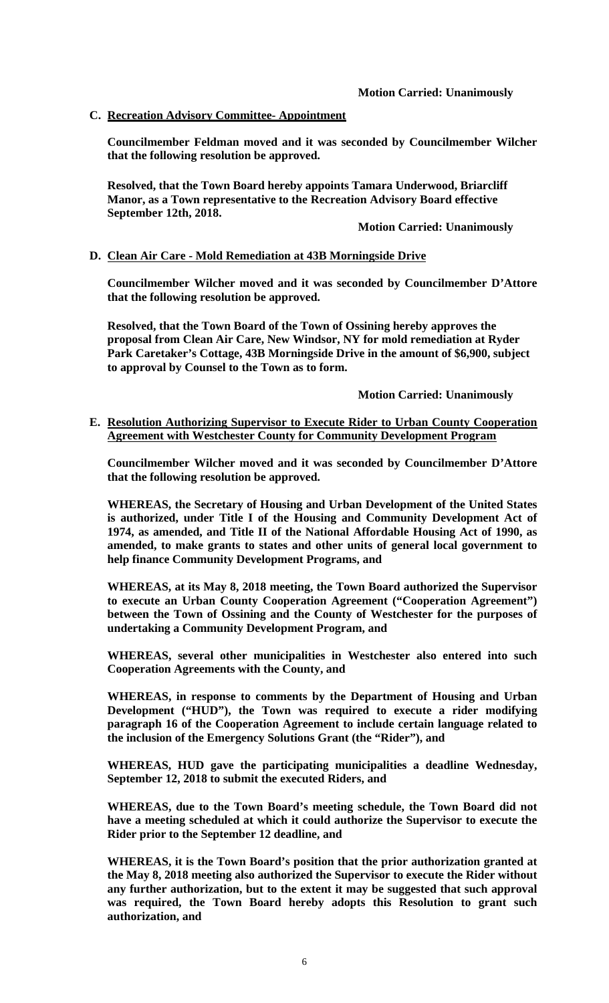# **C. Recreation Advisory Committee- Appointment**

**Councilmember Feldman moved and it was seconded by Councilmember Wilcher that the following resolution be approved.** 

**Resolved, that the Town Board hereby appoints Tamara Underwood, Briarcliff Manor, as a Town representative to the Recreation Advisory Board effective September 12th, 2018.** 

 **Motion Carried: Unanimously** 

# **D. Clean Air Care - Mold Remediation at 43B Morningside Drive**

**Councilmember Wilcher moved and it was seconded by Councilmember D'Attore that the following resolution be approved.** 

**Resolved, that the Town Board of the Town of Ossining hereby approves the proposal from Clean Air Care, New Windsor, NY for mold remediation at Ryder Park Caretaker's Cottage, 43B Morningside Drive in the amount of \$6,900, subject to approval by Counsel to the Town as to form.** 

 **Motion Carried: Unanimously** 

### **E. Resolution Authorizing Supervisor to Execute Rider to Urban County Cooperation Agreement with Westchester County for Community Development Program**

**Councilmember Wilcher moved and it was seconded by Councilmember D'Attore that the following resolution be approved.** 

**WHEREAS, the Secretary of Housing and Urban Development of the United States is authorized, under Title I of the Housing and Community Development Act of 1974, as amended, and Title II of the National Affordable Housing Act of 1990, as amended, to make grants to states and other units of general local government to help finance Community Development Programs, and** 

**WHEREAS, at its May 8, 2018 meeting, the Town Board authorized the Supervisor to execute an Urban County Cooperation Agreement ("Cooperation Agreement") between the Town of Ossining and the County of Westchester for the purposes of undertaking a Community Development Program, and** 

**WHEREAS, several other municipalities in Westchester also entered into such Cooperation Agreements with the County, and** 

**WHEREAS, in response to comments by the Department of Housing and Urban Development ("HUD"), the Town was required to execute a rider modifying paragraph 16 of the Cooperation Agreement to include certain language related to the inclusion of the Emergency Solutions Grant (the "Rider"), and** 

**WHEREAS, HUD gave the participating municipalities a deadline Wednesday, September 12, 2018 to submit the executed Riders, and** 

**WHEREAS, due to the Town Board's meeting schedule, the Town Board did not have a meeting scheduled at which it could authorize the Supervisor to execute the Rider prior to the September 12 deadline, and** 

**WHEREAS, it is the Town Board's position that the prior authorization granted at the May 8, 2018 meeting also authorized the Supervisor to execute the Rider without any further authorization, but to the extent it may be suggested that such approval was required, the Town Board hereby adopts this Resolution to grant such authorization, and**